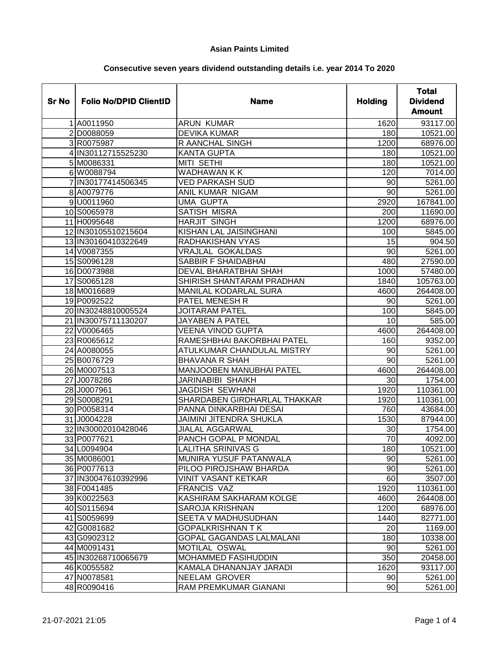| <b>Sr No</b> | <b>Folio No/DPID ClientID</b> | <b>Name</b>                     | <b>Holding</b>  | <b>Total</b><br><b>Dividend</b><br><b>Amount</b> |
|--------------|-------------------------------|---------------------------------|-----------------|--------------------------------------------------|
|              | 1 A0011950                    | <b>ARUN KUMAR</b>               | 1620            | 93117.00                                         |
|              | 2 D0088059                    | <b>DEVIKA KUMAR</b>             | 180             | 10521.00                                         |
|              | 3 R0075987                    | <b>R AANCHAL SINGH</b>          | 1200            | 68976.00                                         |
|              | 4 IN30112715525230            | <b>KANTA GUPTA</b>              | 180             | 10521.00                                         |
|              | 5 M0086331                    | <b>MITI SETHI</b>               | 180             | 10521.00                                         |
|              | 6 W0088794                    | <b>WADHAWAN K K</b>             | 120             | 7014.00                                          |
|              | 7 IN30177414506345            | <b>VED PARKASH SUD</b>          | 90              | 5261.00                                          |
|              | 8 A0079776                    | ANIL KUMAR NIGAM                | 90              | 5261.00                                          |
|              | 9 U0011960                    | <b>UMA GUPTA</b>                | 2920            | 167841.00                                        |
|              | 10 S0065978                   | <b>SATISH MISRA</b>             | 200             | 11690.00                                         |
|              | 11 H0095648                   | <b>HARJIT SINGH</b>             | 1200            | 68976.00                                         |
|              | 12 IN30105510215604           | KISHAN LAL JAISINGHANI          | 100             | 5845.00                                          |
|              | 13 IN30160410322649           | RADHAKISHAN VYAS                | 15              | 904.50                                           |
|              | 14 V0087355                   | <b>VRAJLAL GOKALDAS</b>         | $\overline{90}$ | 5261.00                                          |
|              | 15 S0096128                   | <b>SABBIR F SHAIDABHAI</b>      | 480             | 27590.00                                         |
|              | 16 D0073988                   | DEVAL BHARATBHAI SHAH           | 1000            | 57480.00                                         |
|              | 17 S0065128                   | SHIRISH SHANTARAM PRADHAN       | 1840            | 105763.00                                        |
|              | 18 M0016689                   | MANILAL KODARLAL SURA           | 4600            | 264408.00                                        |
|              | 19 P0092522                   | <b>PATEL MENESH R</b>           | 90              | 5261.00                                          |
|              | 20 IN30248810005524           | <b>JOITARAM PATEL</b>           | 100             | 5845.00                                          |
|              | 21 IN30075711130207           | <b>JAYABEN A PATEL</b>          | 10              | 585.00                                           |
|              | 22 V0006465                   | VEENA VINOD GUPTA               | 4600            | 264408.00                                        |
|              | 23 R0065612                   | RAMESHBHAI BAKORBHAI PATEL      | 160             | 9352.00                                          |
|              | 24 A0080055                   | ATULKUMAR CHANDULAL MISTRY      | 90              | 5261.00                                          |
|              | 25 B0076729                   | <b>BHAVANA R SHAH</b>           | 90              | 5261.00                                          |
|              | 26 M0007513                   | <b>MANJOOBEN MANUBHAI PATEL</b> | 4600            | 264408.00                                        |
|              | 27 J0078286                   | JARINABIBI SHAIKH               | 30              | 1754.00                                          |
|              | 28 J0007961                   | JAGDISH SEWHANI                 | 1920            | 110361.00                                        |
|              | 29 S0008291                   | SHARDABEN GIRDHARLAL THAKKAR    | 1920            | 110361.00                                        |
|              | 30 P0058314                   | PANNA DINKARBHAI DESAI          | 760             | 43684.00                                         |
|              | 31 J0004228                   | <b>JAIMINI JITENDRA SHUKLA</b>  | 1530            | 87944.00                                         |
|              | 32 IN30002010428046           | <b>JIALAL AGGARWAL</b>          | 30              | 1754.00                                          |
|              | 33 P0077621                   | PANCH GOPAL P MONDAL            | $\overline{70}$ | 4092.00                                          |
|              | 34 L0094904                   | <b>LALITHA SRINIVAS G</b>       | 180             | 10521.00                                         |
|              | 35 M0086001                   | <b>MUNIRA YUSUF PATANWALA</b>   | 90              | 5261.00                                          |
|              | 36 P0077613                   | PILOO PIROJSHAW BHARDA          | 90              | 5261.00                                          |
|              | 37 IN30047610392996           | VINIT VASANT KETKAR             | 60              | 3507.00                                          |
|              | 38 F0041485                   | <b>FRANCIS VAZ</b>              | 1920            | 110361.00                                        |
|              | 39 K0022563                   | KASHIRAM SAKHARAM KOLGE         | 4600            | 264408.00                                        |
|              | 40 S0115694                   | SAROJA KRISHNAN                 | 1200            | 68976.00                                         |
|              | 41 S0059699                   | SEETA V MADHUSUDHAN             | 1440            | 82771.00                                         |
|              | 42 G0081682                   | <b>GOPALKRISHNAN TK</b>         | 20              | 1169.00                                          |
|              | 43 G0902312                   | GOPAL GAGANDAS LALMALANI        | 180             | 10338.00                                         |
|              | 44 M0091431                   | MOTILAL OSWAL                   | 90              | 5261.00                                          |
|              | 45 IN30268710065679           | MOHAMMED FASIHUDDIN             | 350             | 20458.00                                         |
|              | 46 K0055582                   | KAMALA DHANANJAY JARADI         | 1620            | 93117.00                                         |
|              | 47 N0078581                   | NEELAM GROVER                   | 90              | 5261.00                                          |
|              | 48 R0090416                   | RAM PREMKUMAR GIANANI           | 90              | 5261.00                                          |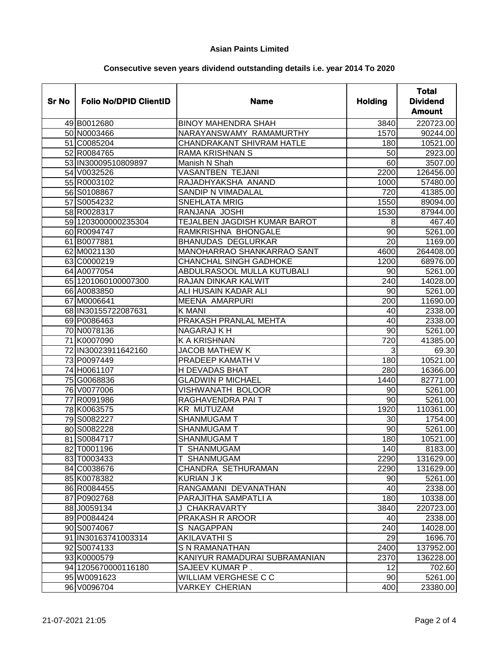| <b>Sr No</b> | <b>Folio No/DPID ClientID</b> | <b>Name</b>                         | <b>Holding</b>  | <b>Total</b><br><b>Dividend</b><br><b>Amount</b> |
|--------------|-------------------------------|-------------------------------------|-----------------|--------------------------------------------------|
|              | 49 B0012680                   | <b>BINOY MAHENDRA SHAH</b>          | 3840            | 220723.00                                        |
|              | 50 N0003466                   | NARAYANSWAMY RAMAMURTHY             | 1570            | 90244.00                                         |
|              | 51 C0085204                   | <b>CHANDRAKANT SHIVRAM HATLE</b>    | 180             | 10521.00                                         |
|              | 52 R0084765                   | <b>RAMA KRISHNAN S</b>              | 50              | 2923.00                                          |
|              | 53 IN30009510809897           | Manish N Shah                       | 60              | 3507.00                                          |
|              | 54 V0032526                   | <b>VASANTBEN TEJANI</b>             | 2200            | 126456.00                                        |
|              | 55 R0003102                   | RAJADHYAKSHA ANAND                  | 1000            | 57480.00                                         |
|              | 56 S0108867                   | SANDIP N VIMADALAL                  | 720             | 41385.00                                         |
|              | 57 S0054232                   | <b>SNEHLATA MRIG</b>                | 1550            | 89094.00                                         |
|              | 58 R0028317                   | RANJANA JOSHI                       | 1530            | 87944.00                                         |
|              | 59 1203000000235304           | <b>TEJALBEN JAGDISH KUMAR BAROT</b> | 8               | 467.40                                           |
|              | 60 R0094747                   | RAMKRISHNA BHONGALE                 | $\overline{90}$ | 5261.00                                          |
|              | 61 B0077881                   | <b>BHANUDAS DEGLURKAR</b>           | 20              | 1169.00                                          |
|              | 62 M0021130                   | MANOHARRAO SHANKARRAO SANT          | 4600            | 264408.00                                        |
|              | 63 C0000219                   | <b>CHANCHAL SINGH GADHOKE</b>       | 1200            | 68976.00                                         |
|              | 64 A0077054                   | ABDULRASOOL MULLA KUTUBALI          | 90              | 5261.00                                          |
|              | 65 1201060100007300           | <b>RAJAN DINKAR KALWIT</b>          | 240             | 14028.00                                         |
|              | 66 A0083850                   | ALI HUSAIN KADAR ALI                | 90              | 5261.00                                          |
|              | 67 M0006641                   | <b>MEENA AMARPURI</b>               | 200             | 11690.00                                         |
|              | 68 IN30155722087631           | <b>K MANI</b>                       | 40              | 2338.00                                          |
|              | 69 P0086463                   | PRAKASH PRANLAL MEHTA               | 40              | 2338.00                                          |
|              | 70 N0078136                   | <b>NAGARAJ K H</b>                  | 90              | 5261.00                                          |
|              | 71 K0007090                   | <b>K A KRISHNAN</b>                 | 720             | 41385.00                                         |
|              | 72 IN30023911642160           | <b>JACOB MATHEW K</b>               | 3               | 69.30                                            |
|              | 73 P0097449                   | PRADEEP KAMATH V                    | 180             | 10521.00                                         |
|              | 74 H0061107                   | <b>H DEVADAS BHAT</b>               | 280             | 16366.00                                         |
|              | 75 G0068836                   | <b>GLADWIN P MICHAEL</b>            | 1440            | 82771.00                                         |
|              | 76 V0077006                   | VISHWANATH BOLOOR                   | 90              | 5261.00                                          |
|              | 77 R0091986                   | RAGHAVENDRA PAIT                    | 90              | 5261.00                                          |
|              | 78 K0063575                   | <b>KR MUTUZAM</b>                   | 1920            | 110361.00                                        |
|              | 79 S0082227                   | <b>SHANMUGAM T</b>                  | 30              | 1754.00                                          |
|              | 80 S0082228                   | <b>SHANMUGAM T</b>                  | 90              | 5261.00                                          |
|              | 81 S0084717                   | SHANMUGAM T                         | 180             | 10521.00                                         |
|              | 82 T0001196                   | SHANMUGAM                           | 140             | 8183.00                                          |
|              | 83 T0003433                   | T SHANMUGAM                         | 2290            | 131629.00                                        |
|              | 84 C0038676                   | CHANDRA SETHURAMAN                  | 2290            | 131629.00                                        |
|              | 85 K0078382                   | KURIAN J K                          | 90              | 5261.00                                          |
|              | 86 R0084455                   | RANGAMANI DEVANATHAN                | 40              | 2338.00                                          |
|              | 87 P0902768                   | PARAJITHA SAMPATLI A                | 180             | 10338.00                                         |
|              | 88 J0059134                   | J CHAKRAVARTY                       | 3840            | 220723.00                                        |
|              | 89 P0084424                   | PRAKASH R AROOR                     | 40              | 2338.00                                          |
|              | 90 S0074067                   | S NAGAPPAN                          | 240             | 14028.00                                         |
|              | 91 IN30163741003314           | <b>AKILAVATHI S</b>                 | 29              | 1696.70                                          |
|              | 92 S0074133                   | S N RAMANATHAN                      | 2400            | 137952.00                                        |
|              | 93 K0000579                   | KANIYUR RAMADURAI SUBRAMANIAN       | 2370            | 136228.00                                        |
|              | 94 1205 670000116180          | SAJEEV KUMAR P.                     | 12              | 702.60                                           |
|              | 95 W0091623                   | WILLIAM VERGHESE C C                | 90              | 5261.00                                          |
|              | 96 V0096704                   | VARKEY CHERIAN                      | 400             | 23380.00                                         |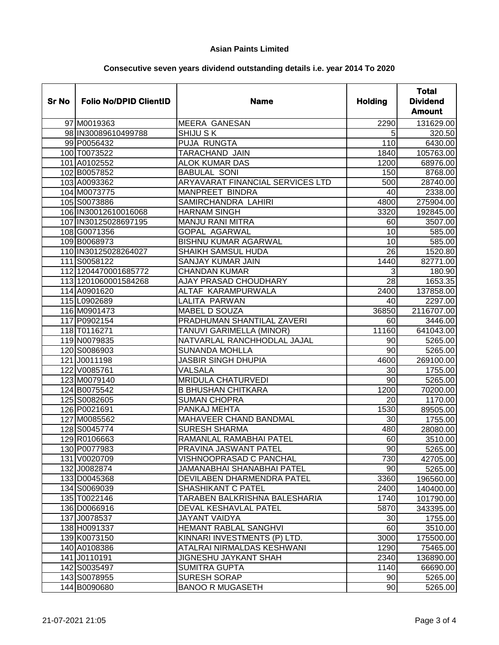| <b>Sr No</b> | <b>Folio No/DPID ClientID</b> | <b>Name</b>                      | <b>Holding</b>  | <b>Total</b><br><b>Dividend</b><br><b>Amount</b> |
|--------------|-------------------------------|----------------------------------|-----------------|--------------------------------------------------|
|              | 97 M0019363                   | <b>MEERA GANESAN</b>             | 2290            | 131629.00                                        |
|              | 98 IN30089610499788           | <b>SHIJU SK</b>                  | 5               | 320.50                                           |
|              | 99 P0056432                   | <b>PUJA RUNGTA</b>               | 110             | 6430.00                                          |
|              | 100 T0073522                  | TARACHAND JAIN                   | 1840            | 105763.00                                        |
|              | 101 A0102552                  | <b>ALOK KUMAR DAS</b>            | 1200            | 68976.00                                         |
|              | 102 B0057852                  | <b>BABULAL SONI</b>              | 150             | 8768.00                                          |
|              | 103 A0093362                  | ARYAVARAT FINANCIAL SERVICES LTD | 500             | 28740.00                                         |
|              | 104 M0073775                  | <b>MANPREET BINDRA</b>           | 40              | 2338.00                                          |
|              | 105 S0073886                  | SAMIRCHANDRA LAHIRI              | 4800            | 275904.00                                        |
|              | 106 IN30012610016068          | <b>HARNAM SINGH</b>              | 3320            | 192845.00                                        |
|              | 107 IN30125028697195          | <b>MANJU RANI MITRA</b>          | 60              | 3507.00                                          |
|              | 108 G0071356                  | <b>GOPAL AGARWAL</b>             | 10              | 585.00                                           |
|              | 109 B0068973                  | <b>BISHNU KUMAR AGARWAL</b>      | 10              | 585.00                                           |
|              | 110 IN30125028264027          | <b>SHAIKH SAMSUL HUDA</b>        | $\overline{26}$ | 1520.80                                          |
|              | 111 S0058122                  | <b>SANJAY KUMAR JAIN</b>         | 1440            | 82771.00                                         |
|              | 112 1204470001685772          | <b>CHANDAN KUMAR</b>             | 3               | 180.90                                           |
|              | 113 1201060001584268          | <b>AJAY PRASAD CHOUDHARY</b>     | $\overline{28}$ | 1653.35                                          |
|              | 114 A0901620                  | ALTAF KARAMPURWALA               | 2400            | 137858.00                                        |
|              | 115 L0902689                  | LALITA PARWAN                    | 40              | 2297.00                                          |
|              | 116 M0901473                  | MABEL D SOUZA                    | 36850           | 2116707.00                                       |
|              | 117 P0902154                  | PRADHUMAN SHANTILAL ZAVERI       | 60              | 3446.00                                          |
|              | 118 T0116271                  | TANUVI GARIMELLA (MINOR)         | 11160           | 641043.00                                        |
|              | 119 N0079835                  | NATVARLAL RANCHHODLAL JAJAL      | 90              | 5265.00                                          |
|              | 120 S0086903                  | <b>SUNANDA MOHLLA</b>            | $\overline{90}$ | 5265.00                                          |
|              | 121 J0011198                  | <b>JASBIR SINGH DHUPIA</b>       | 4600            | 269100.00                                        |
|              | 122 V0085761                  | VALSALA                          | 30              | 1755.00                                          |
|              | 123 M0079140                  | <b>MRIDULA CHATURVEDI</b>        | $\overline{90}$ | 5265.00                                          |
|              | 124 B0075542                  | <b>B BHUSHAN CHITKARA</b>        | 1200            | 70200.00                                         |
|              | 125 S0082605                  | <b>SUMAN CHOPRA</b>              | 20              | 1170.00                                          |
|              | 126 P0021691                  | PANKAJ MEHTA                     | 1530            | 89505.00                                         |
|              | 127 M0085562                  | MAHAVEER CHAND BANDMAL           | 30              | 1755.00                                          |
|              | 128 S0045774                  | <b>SURESH SHARMA</b>             | 480             | 28080.00                                         |
|              | 129 R0106663                  | RAMANLAL RAMABHAI PATEL          | 60              | 3510.00                                          |
|              | 130 P0077983                  | PRAVINA JASWANT PATEL            | 90              | 5265.00                                          |
|              | 131 V0020709                  | VISHNOOPRASAD C PANCHAL          | 730             | 42705.00                                         |
|              | 132 J0082874                  | JAMANABHAI SHANABHAI PATEL       | 90              | 5265.00                                          |
|              | 133 D0045368                  | DEVILABEN DHARMENDRA PATEL       | 3360            | 196560.00                                        |
|              | 134 S0069039                  | <b>SHASHIKANT C PATEL</b>        | 2400            | 140400.00                                        |
|              | 135 T0022146                  | TARABEN BALKRISHNA BALESHARIA    | 1740            | 101790.00                                        |
|              | 136 D0066916                  | DEVAL KESHAVLAL PATEL            | 5870            | 343395.00                                        |
|              | 137 J0078537                  | <b>JAYANT VAIDYA</b>             | 30              | 1755.00                                          |
|              | 138 H0091337                  | <b>HEMANT RABLAL SANGHVI</b>     | 60              | 3510.00                                          |
|              | 139 K0073150                  | KINNARI INVESTMENTS (P) LTD.     | 3000            | 175500.00                                        |
|              | 140 A0108386                  | ATALRAI NIRMALDAS KESHWANI       | 1290            | 75465.00                                         |
|              | 141 J0110191                  | <b>JIGNESHU JAYKANT SHAH</b>     | 2340            | 136890.00                                        |
|              | 142 S0035497                  | <b>SUMITRA GUPTA</b>             | 1140            | 66690.00                                         |
|              | 143 S0078955                  | <b>SURESH SORAP</b>              | 90              | 5265.00                                          |
|              | 144 B0090680                  | <b>BANOO R MUGASETH</b>          | 90              | 5265.00                                          |